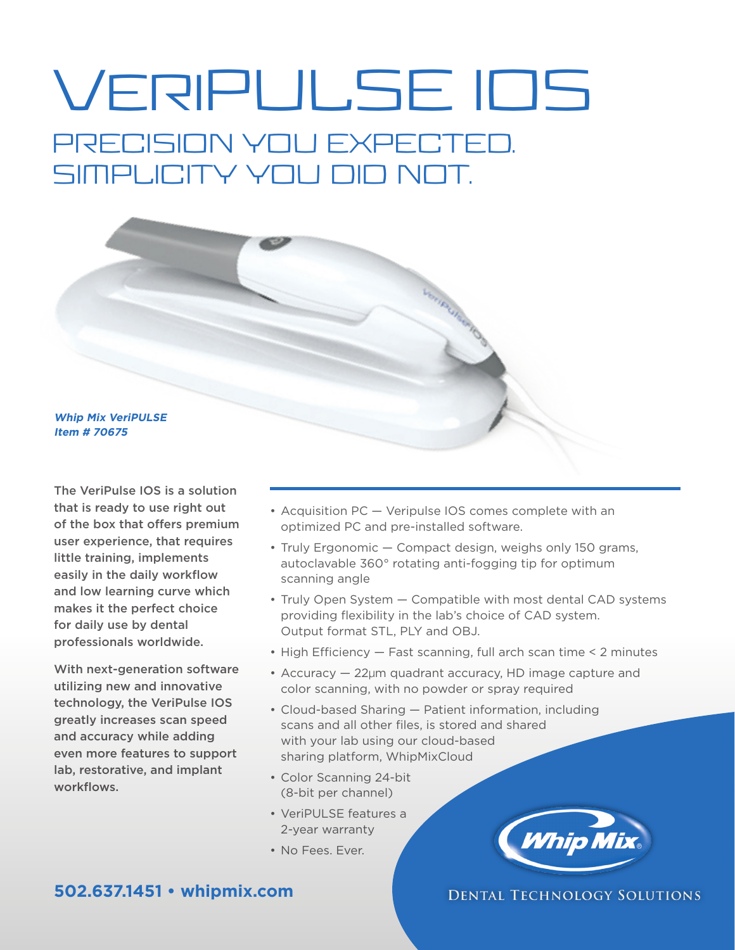# VeriPULSE IOS PRECISION YOU EXPECTED. SIMPLICITY YOU DID NOT.



The VeriPulse IOS is a solution that is ready to use right out of the box that offers premium user experience, that requires little training, implements easily in the daily workflow and low learning curve which makes it the perfect choice for daily use by dental professionals worldwide.

With next-generation software utilizing new and innovative technology, the VeriPulse IOS greatly increases scan speed and accuracy while adding even more features to support lab, restorative, and implant workflows.

- Acquisition PC Veripulse IOS comes complete with an optimized PC and pre-installed software.
- Truly Ergonomic Compact design, weighs only 150 grams, autoclavable 360° rotating anti-fogging tip for optimum scanning angle
- Truly Open System Compatible with most dental CAD systems providing flexibility in the lab's choice of CAD system. Output format STL, PLY and OBJ.
- High Efficiency Fast scanning, full arch scan time < 2 minutes
- Accuracy 22µm quadrant accuracy, HD image capture and color scanning, with no powder or spray required
- Cloud-based Sharing Patient information, including scans and all other files, is stored and shared with your lab using our cloud-based sharing platform, WhipMixCloud
- Color Scanning 24-bit (8-bit per channel)
- VeriPULSE features a 2-year warranty
- No Fees. Ever.



### **DENTAL TECHNOLOGY SOLUTIONS**

## **502.637.1451 • whipmix.com**